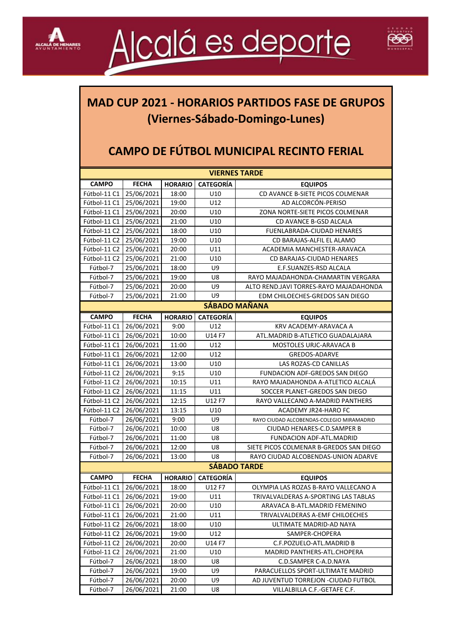



## **MAD CUP 2021 - HORARIOS PARTIDOS FASE DE GRUPOS (Viernes-Sábado-Domingo-Lunes)**

## **CAMPO DE FÚTBOL MUNICIPAL RECINTO FERIAL**

| <b>VIERNES TARDE</b>                                                                          |                          |                |                  |                                                                     |  |  |
|-----------------------------------------------------------------------------------------------|--------------------------|----------------|------------------|---------------------------------------------------------------------|--|--|
| <b>CAMPO</b>                                                                                  | <b>FECHA</b>             | <b>HORARIO</b> | <b>CATEGORÍA</b> | <b>EQUIPOS</b>                                                      |  |  |
| Fútbol-11 C1                                                                                  | 25/06/2021               | 18:00          | U10              | CD AVANCE B-SIETE PICOS COLMENAR                                    |  |  |
| Fútbol-11 C1                                                                                  | 25/06/2021               | 19:00          | U12              | AD ALCORCÓN-PERISO                                                  |  |  |
| Fútbol-11 C1                                                                                  | 25/06/2021               | 20:00          | U10              | ZONA NORTE-SIETE PICOS COLMENAR                                     |  |  |
| Fútbol-11 C1                                                                                  | 25/06/2021               | 21:00          | U10              | CD AVANCE B-GSD ALCALA                                              |  |  |
| Fútbol-11 C2                                                                                  | 25/06/2021               | 18:00          | U10              | FUENLABRADA-CIUDAD HENARES                                          |  |  |
| Fútbol-11 C2                                                                                  | 25/06/2021               | 19:00          | U10              | CD BARAJAS-ALFIL EL ALAMO                                           |  |  |
| Fútbol-11 C2                                                                                  | 25/06/2021               | 20:00          | U11              | ACADEMIA MANCHESTER-ARAVACA                                         |  |  |
| Fútbol-11 C2                                                                                  | 25/06/2021               | 21:00          | U10              | CD BARAJAS-CIUDAD HENARES                                           |  |  |
| Fútbol-7                                                                                      | 25/06/2021               | 18:00          | U9               | E.F.SUANZES-RSD ALCALA                                              |  |  |
| Fútbol-7                                                                                      | 25/06/2021               | 19:00          | U8               | RAYO MAJADAHONDA-CHAMARTIN VERGARA                                  |  |  |
| Fútbol-7                                                                                      | 25/06/2021               | 20:00          | U9               | ALTO REND.JAVI TORRES-RAYO MAJADAHONDA                              |  |  |
| Fútbol-7                                                                                      | 25/06/2021               | 21:00          | U9               | EDM CHILOECHES-GREDOS SAN DIEGO                                     |  |  |
| <b>SÁBADO MAÑANA</b>                                                                          |                          |                |                  |                                                                     |  |  |
| <b>CAMPO</b>                                                                                  | <b>FECHA</b>             | <b>HORARIO</b> | <b>CATEGORÍA</b> |                                                                     |  |  |
| Fútbol-11 C1                                                                                  | 26/06/2021               | 9:00           | U12              | <b>EQUIPOS</b><br>KRV ACADEMY-ARAVACA A                             |  |  |
| Fútbol-11 C1                                                                                  | 26/06/2021               |                |                  |                                                                     |  |  |
|                                                                                               |                          | 10:00          | U14 F7           | ATL.MADRID B-ATLETICO GUADALAJARA                                   |  |  |
| Fútbol-11 C1                                                                                  | 26/06/2021               | 11:00          | U12              | MOSTOLES URJC-ARAVACA B                                             |  |  |
| Fútbol-11 C1<br>Fútbol-11 C1                                                                  | 26/06/2021               | 12:00          | U12              | <b>GREDOS-ADARVE</b>                                                |  |  |
|                                                                                               | 26/06/2021               | 13:00          | U10              | LAS ROZAS-CD CANILLAS                                               |  |  |
| Fútbol-11 C2                                                                                  | 26/06/2021               | 9:15           | U10              | FUNDACION ADF-GREDOS SAN DIEGO                                      |  |  |
| Fútbol-11 C2<br>Fútbol-11 C2                                                                  | 26/06/2021               | 10:15          | U11              | RAYO MAJADAHONDA A-ATLETICO ALCALÁ                                  |  |  |
|                                                                                               | 26/06/2021               | 11:15          | U11              | SOCCER PLANET-GREDOS SAN DIEGO                                      |  |  |
| Fútbol-11 C2                                                                                  | 26/06/2021               | 12:15          | U12 F7           | RAYO VALLECANO A-MADRID PANTHERS                                    |  |  |
| Fútbol-11 C2<br>Fútbol-7                                                                      | 26/06/2021               | 13:15          | U10<br>U9        | ACADEMY JR24-HARO FC                                                |  |  |
|                                                                                               | 26/06/2021               | 9:00           |                  | RAYO CIUDAD ALCOBENDAS-COLEGIO MIRAMADRID                           |  |  |
| Fútbol-7<br>Fútbol-7                                                                          | 26/06/2021<br>26/06/2021 | 10:00          | U8<br>U8         | CIUDAD HENARES-C.D.SAMPER B                                         |  |  |
| Fútbol-7                                                                                      |                          | 11:00<br>12:00 | U8               | FUNDACION ADF-ATL.MADRID<br>SIETE PICOS COLMENAR B-GREDOS SAN DIEGO |  |  |
|                                                                                               | 26/06/2021               |                | U8               |                                                                     |  |  |
| Fútbol-7<br>26/06/2021<br>13:00<br>RAYO CIUDAD ALCOBENDAS-UNION ADARVE<br><b>SÁBADO TARDE</b> |                          |                |                  |                                                                     |  |  |
| <b>CATEGORÍA</b><br><b>CAMPO</b>                                                              |                          |                |                  |                                                                     |  |  |
| Fútbol-11 C1                                                                                  | <b>FECHA</b>             | <b>HORARIO</b> | U12 F7           | <b>EQUIPOS</b><br>OLYMPIA LAS ROZAS B-RAYO VALLECANO A              |  |  |
|                                                                                               | 26/06/2021               | 18:00          |                  |                                                                     |  |  |
| Fútbol-11 C1                                                                                  | 26/06/2021<br>26/06/2021 | 19:00<br>20:00 | U11              | TRIVALVALDERAS A-SPORTING LAS TABLAS                                |  |  |
| Fútbol-11 C1                                                                                  |                          |                | U10              | ARAVACA B-ATL.MADRID FEMENINO                                       |  |  |
| Fútbol-11 C1                                                                                  | 26/06/2021               | 21:00          | U11              | TRIVALVALDERAS A-EMF CHILOECHES                                     |  |  |
| Fútbol-11 C2                                                                                  | 26/06/2021               | 18:00          | U10              | ULTIMATE MADRID-AD NAYA                                             |  |  |
| Fútbol-11 C2                                                                                  | 26/06/2021               | 19:00          | U12              | SAMPER-CHOPERA                                                      |  |  |
| Fútbol-11 C2                                                                                  | 26/06/2021               | 20:00          | U14 F7           | C.F.POZUELO-ATL.MADRID B                                            |  |  |
| Fútbol-11 C2                                                                                  | 26/06/2021               | 21:00          | U10              | MADRID PANTHERS-ATL.CHOPERA                                         |  |  |
| Fútbol-7                                                                                      | 26/06/2021               | 18:00          | U8               | C.D.SAMPER C-A.D.NAYA                                               |  |  |
| Fútbol-7                                                                                      | 26/06/2021               | 19:00          | U9               | PARACUELLOS SPORT-ULTIMATE MADRID                                   |  |  |
| Fútbol-7                                                                                      | 26/06/2021               | 20:00          | U9.              | AD JUVENTUD TORREJON -CIUDAD FUTBOL                                 |  |  |
| Fútbol-7                                                                                      | 26/06/2021               | 21:00          | U8               | VILLALBILLA C.F.-GETAFE C.F.                                        |  |  |